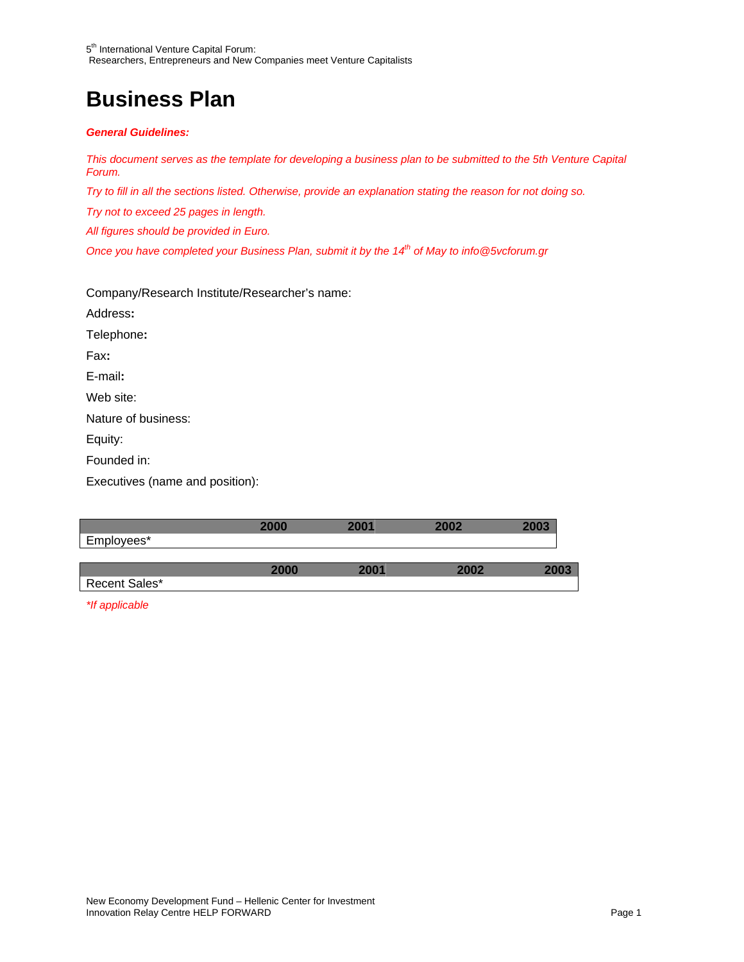### **Business Plan**

#### *General Guidelines:*

*This document serves as the template for developing a business plan to be submitted to the 5th Venture Capital Forum.* 

*Try to fill in all the sections listed. Otherwise, provide an explanation stating the reason for not doing so.* 

*Try not to exceed 25 pages in length.* 

*All figures should be provided in Euro.* 

*Once you have completed your Business Plan, submit it by the 14<sup>th</sup> of May to info@5vcforum.gr* 

Company/Research Institute/Researcher's name:

Address**:**  Telephone**:**  Fax**:**  E-mail**:**  Web site: Nature of business: Equity: Founded in:

Executives (name and position):

|               | 2000 | 2001 | 2002 |      |
|---------------|------|------|------|------|
| Employees*    |      |      |      |      |
|               |      |      |      |      |
|               | 2000 | 2001 | 2002 | 2003 |
| Recent Sales* |      |      |      |      |
|               |      |      |      |      |

*\*If applicable*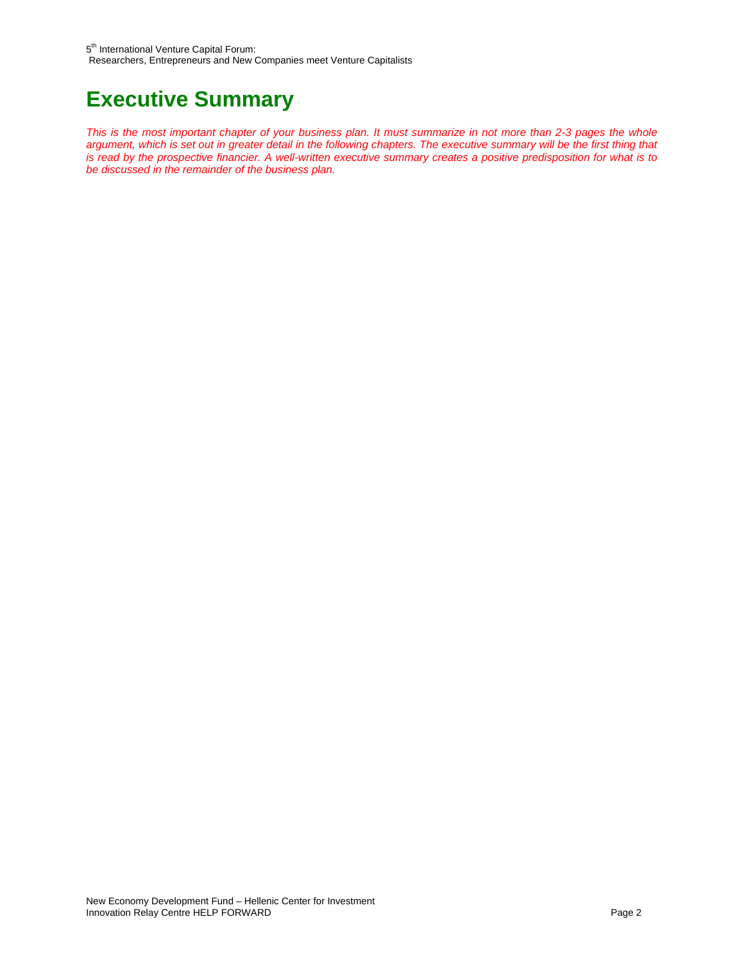### **Executive Summary**

*This is the most important chapter of your business plan. It must summarize in not more than 2-3 pages the whole argument, which is set out in greater detail in the following chapters. The executive summary will be the first thing that is read by the prospective financier. A well-written executive summary creates a positive predisposition for what is to be discussed in the remainder of the business plan.*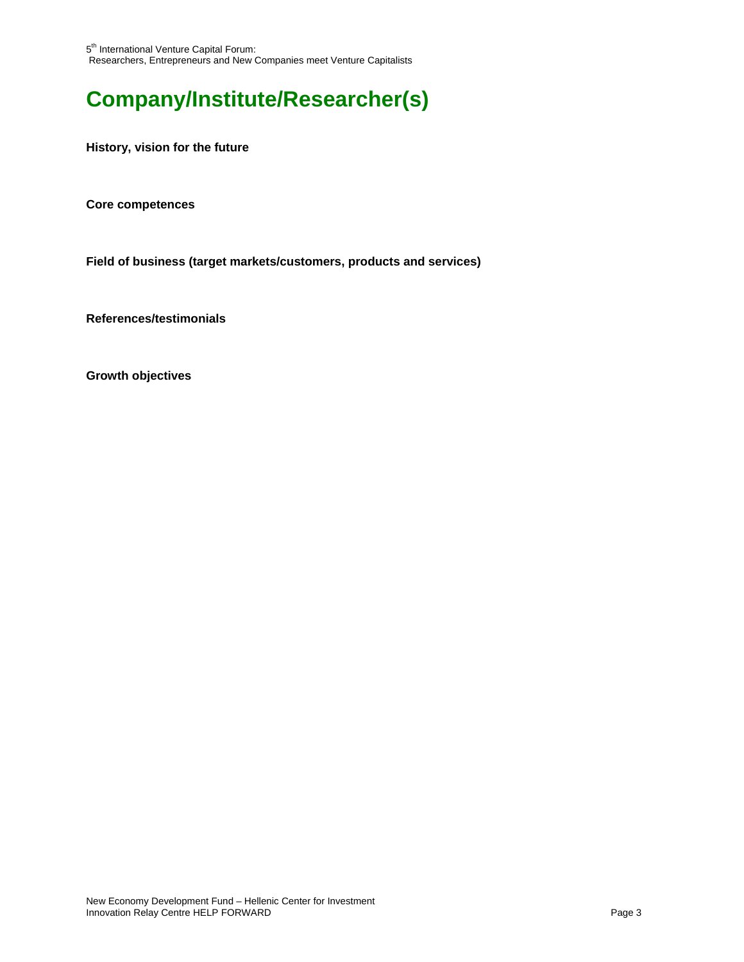# **Company/Institute/Researcher(s)**

**History, vision for the future** 

**Core competences**

**Field of business (target markets/customers, products and services)**

**References/testimonials**

**Growth objectives**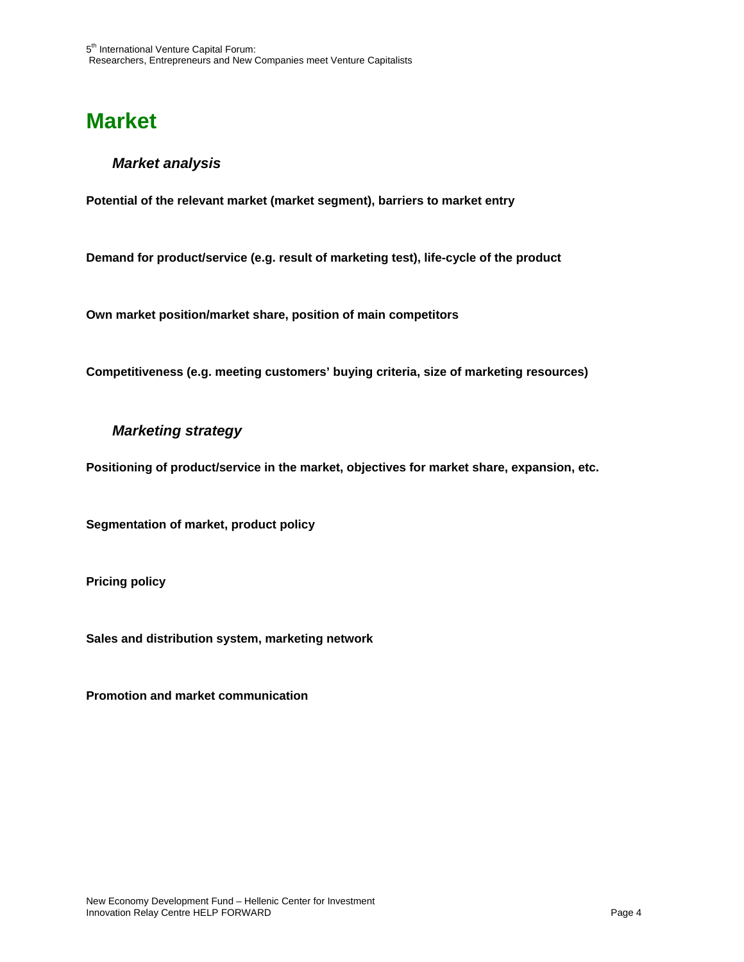### **Market**

#### *Market analysis*

**Potential of the relevant market (market segment), barriers to market entry**

**Demand for product/service (e.g. result of marketing test), life-cycle of the product**

**Own market position/market share, position of main competitors**

**Competitiveness (e.g. meeting customers' buying criteria, size of marketing resources)**

#### *Marketing strategy*

**Positioning of product/service in the market, objectives for market share, expansion, etc.**

**Segmentation of market, product policy**

**Pricing policy**

**Sales and distribution system, marketing network**

**Promotion and market communication**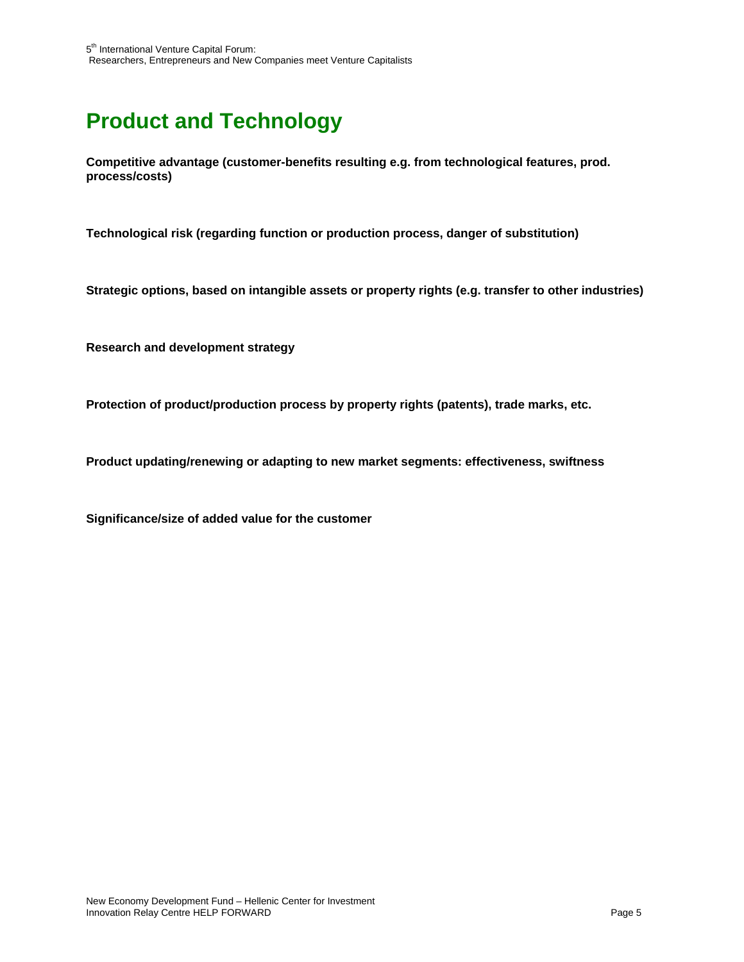# **Product and Technology**

**Competitive advantage (customer-benefits resulting e.g. from technological features, prod. process/costs)**

**Technological risk (regarding function or production process, danger of substitution)**

**Strategic options, based on intangible assets or property rights (e.g. transfer to other industries)**

**Research and development strategy**

**Protection of product/production process by property rights (patents), trade marks, etc.**

**Product updating/renewing or adapting to new market segments: effectiveness, swiftness**

**Significance/size of added value for the customer**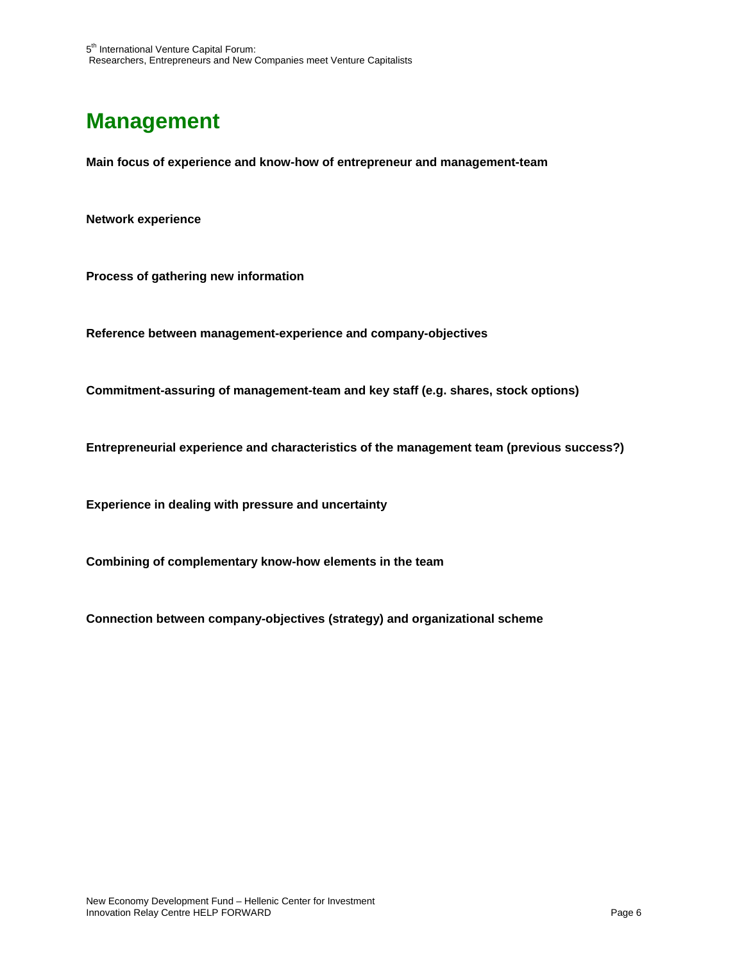# **Management**

**Main focus of experience and know-how of entrepreneur and management-team** 

**Network experience** 

**Process of gathering new information** 

**Reference between management-experience and company-objectives** 

**Commitment-assuring of management-team and key staff (e.g. shares, stock options)** 

**Entrepreneurial experience and characteristics of the management team (previous success?)** 

**Experience in dealing with pressure and uncertainty**

**Combining of complementary know-how elements in the team**

**Connection between company-objectives (strategy) and organizational scheme**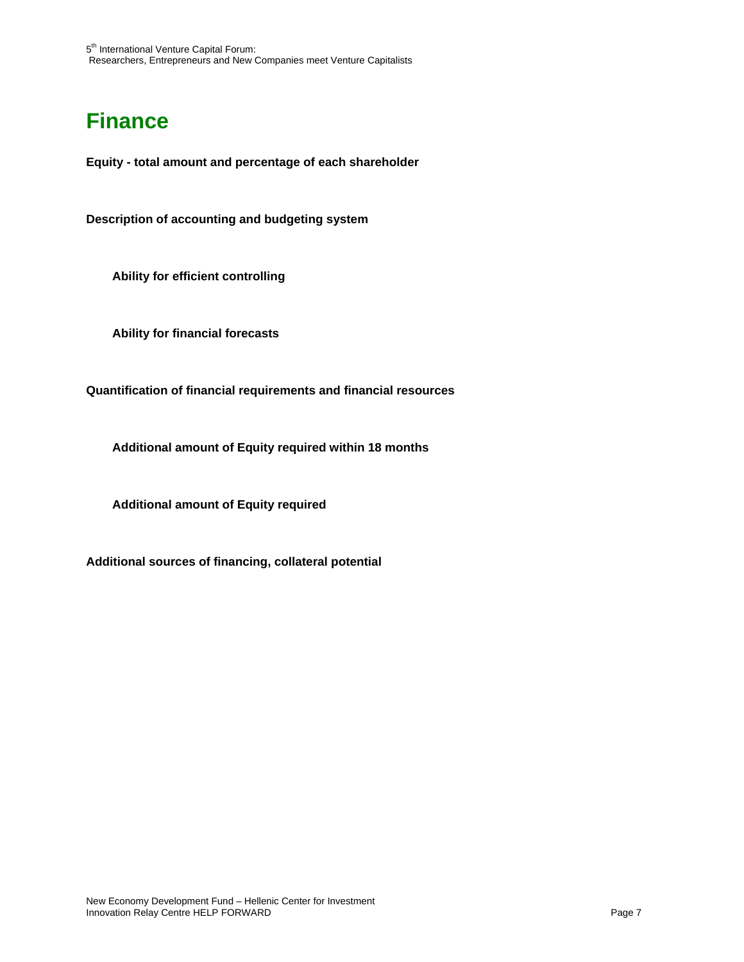# **Finance**

**Equity - total amount and percentage of each shareholder** 

**Description of accounting and budgeting system** 

**Ability for efficient controlling** 

**Ability for financial forecasts** 

**Quantification of financial requirements and financial resources** 

**Additional amount of Equity required within 18 months** 

**Additional amount of Equity required**

**Additional sources of financing, collateral potential**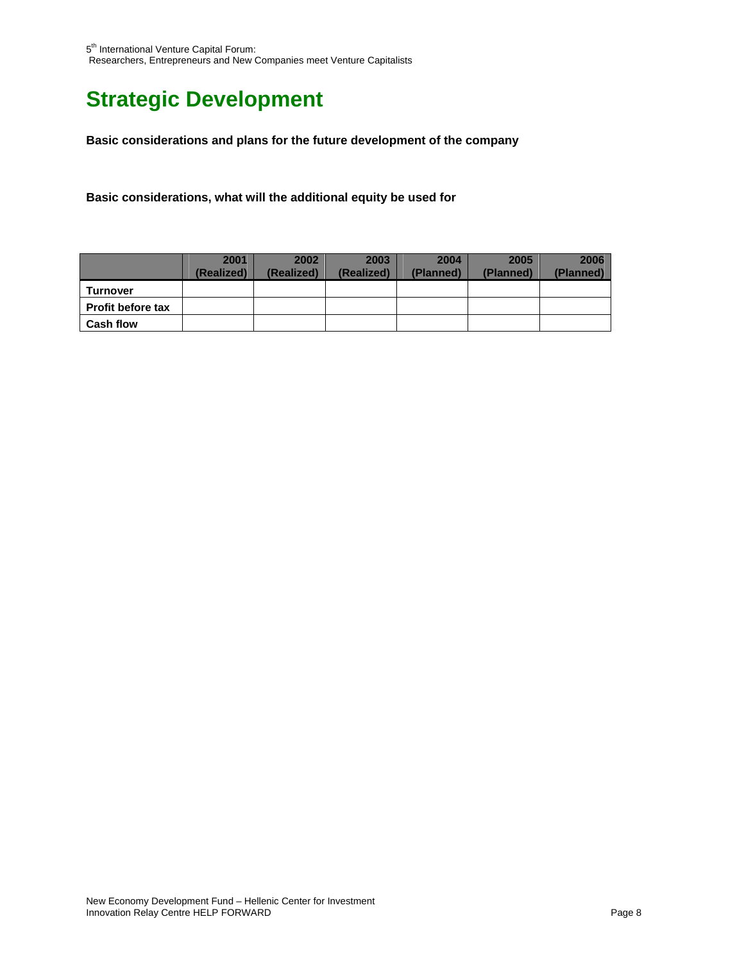# **Strategic Development**

**Basic considerations and plans for the future development of the company**

**Basic considerations, what will the additional equity be used for** 

|                          | 2001       | 2002       | 2003       | 2004      | 2005      | 2006      |
|--------------------------|------------|------------|------------|-----------|-----------|-----------|
|                          | (Realized) | (Realized) | (Realized) | (Planned) | (Planned) | (Planned) |
| Turnover                 |            |            |            |           |           |           |
| <b>Profit before tax</b> |            |            |            |           |           |           |
| <b>Cash flow</b>         |            |            |            |           |           |           |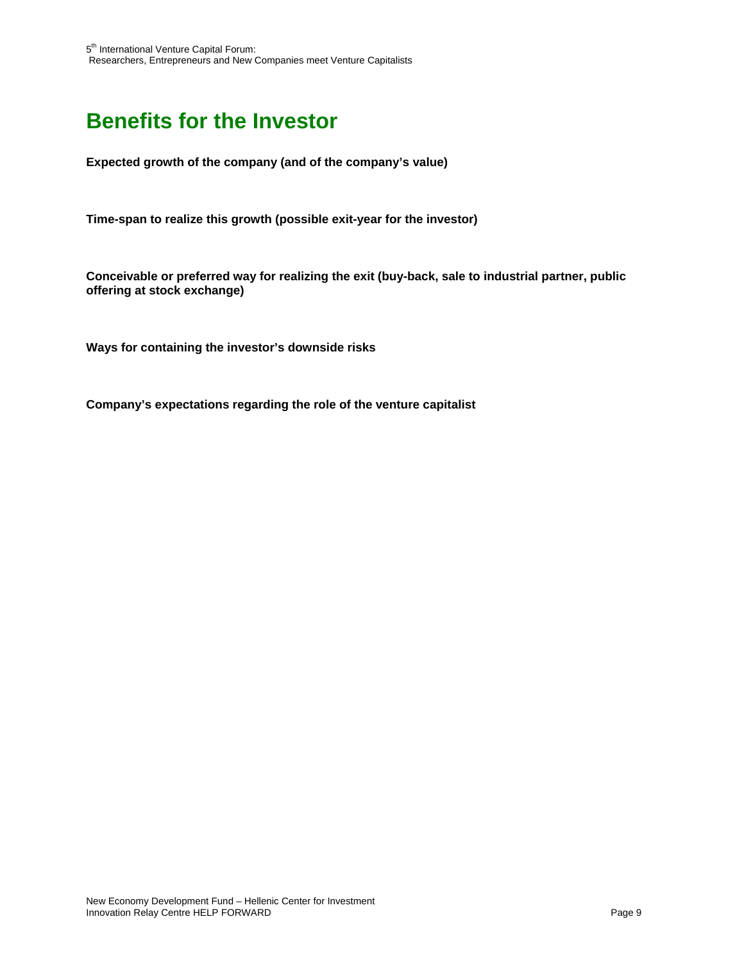# **Benefits for the Investor**

**Expected growth of the company (and of the company's value)** 

**Time-span to realize this growth (possible exit-year for the investor)** 

**Conceivable or preferred way for realizing the exit (buy-back, sale to industrial partner, public offering at stock exchange)** 

**Ways for containing the investor's downside risks** 

**Company's expectations regarding the role of the venture capitalist**